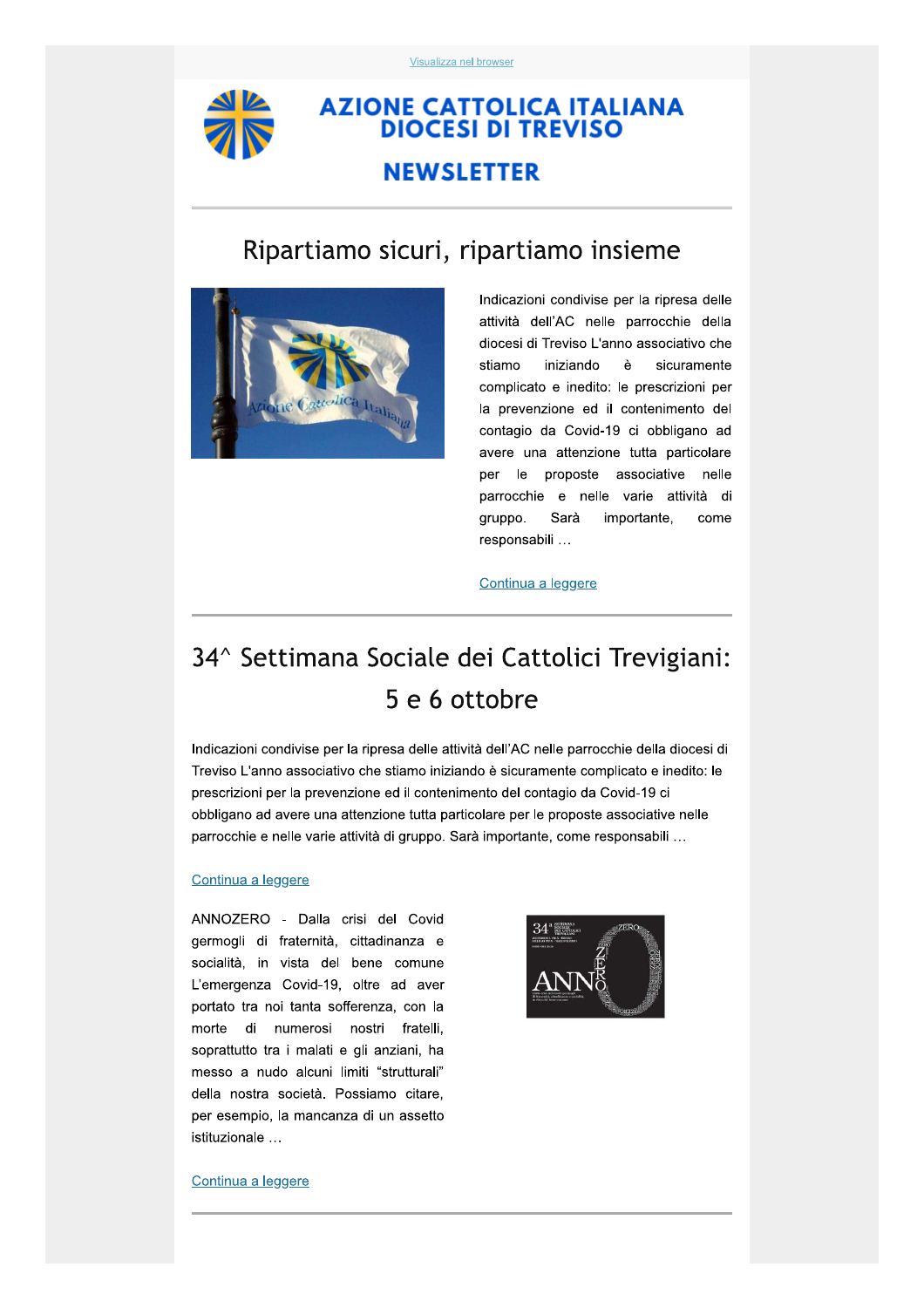

## **AZIONE CATTOLICA ITALIANA DIOCESI DI TREVISO**

## **NEWSLETTER**

## Ripartiamo sicuri, ripartiamo insieme



Indicazioni condivise per la ripresa delle attività dell'AC nelle parrocchie della diocesi di Treviso L'anno associativo che stiamo iniziando è sicuramente complicato e inedito: le prescrizioni per la prevenzione ed il contenimento del contagio da Covid-19 ci obbligano ad avere una attenzione tutta particolare per le le proposte associative nelle parrocchie e nelle varie attività di gruppo. Sarà importante, come responsabili ...

### Continua a leggere

# 34^ Settimana Sociale dei Cattolici Trevigiani: 5 e 6 ottobre

Indicazioni condivise per la ripresa delle attività dell'AC nelle parrocchie della diocesi di Treviso L'anno associativo che stiamo iniziando è sicuramente complicato e inedito: le prescrizioni per la prevenzione ed il contenimento del contagio da Covid-19 ci obbligano ad avere una attenzione tutta particolare per le proposte associative nelle parrocchie e nelle varie attività di gruppo. Sarà importante, come responsabili ...

### Continua a leggere

ANNOZERO - Dalla crisi del Covid germogli di fraternità, cittadinanza e socialità, in vista del bene comune L'emergenza Covid-19, oltre ad aver portato tra noi tanta sofferenza, con la morte di numerosi nostri fratelli, soprattutto tra i malati e gli anziani, ha messo a nudo alcuni limiti "strutturali" della nostra società. Possiamo citare, per esempio, la mancanza di un assetto istituzionale ...



#### Continua a leggere